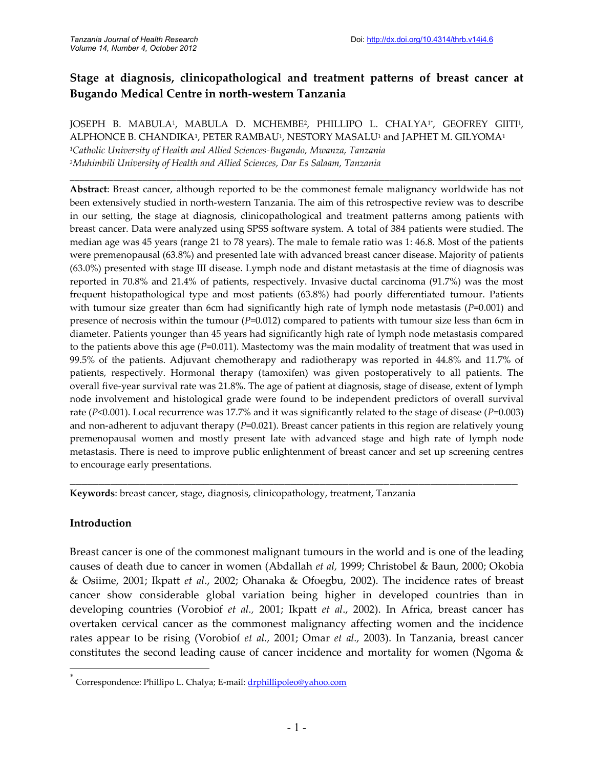# **Stage at diagnosis, clinicopathological and treatment patterns of breast cancer at Bugando Medical Centre in north-western Tanzania**

JOSEPH B. MABULA<sup>1</sup>, MABULA D. MCHEMBE<sup>2</sup>, PHILLIPO L. CHALYA<sup>1</sup>†, GEOFREY GIITI<sup>1</sup>, ALPHONCE B. CHANDIKA<sup>1</sup> , PETER RAMBAU<sup>1</sup> , NESTORY MASALU<sup>1</sup> and JAPHET M. GILYOMA<sup>1</sup> *<sup>1</sup>Catholic University of Health and Allied Sciences-Bugando, Mwanza, Tanzania <sup>2</sup>Muhimbili University of Health and Allied Sciences, Dar Es Salaam, Tanzania*

\_\_\_\_\_\_\_\_\_\_\_\_\_\_\_\_\_\_\_\_\_\_\_\_\_\_\_\_\_\_\_\_\_\_\_\_\_\_\_\_\_\_\_\_\_\_\_\_\_\_\_\_\_\_\_\_\_\_\_\_\_\_\_\_\_\_\_\_\_\_\_\_\_\_\_\_\_\_\_\_\_\_\_\_\_\_\_\_\_\_\_\_\_

**Abstract**: Breast cancer, although reported to be the commonest female malignancy worldwide has not been extensively studied in north-western Tanzania. The aim of this retrospective review was to describe in our setting, the stage at diagnosis, clinicopathological and treatment patterns among patients with breast cancer. Data were analyzed using SPSS software system. A total of 384 patients were studied. The median age was 45 years (range 21 to 78 years). The male to female ratio was 1: 46.8. Most of the patients were premenopausal (63.8%) and presented late with advanced breast cancer disease. Majority of patients (63.0%) presented with stage III disease. Lymph node and distant metastasis at the time of diagnosis was reported in 70.8% and 21.4% of patients, respectively. Invasive ductal carcinoma (91.7%) was the most frequent histopathological type and most patients (63.8%) had poorly differentiated tumour. Patients with tumour size greater than 6cm had significantly high rate of lymph node metastasis (*P*=0.001) and presence of necrosis within the tumour (*P*=0.012) compared to patients with tumour size less than 6cm in diameter. Patients younger than 45 years had significantly high rate of lymph node metastasis compared to the patients above this age (*P*=0.011). Mastectomy was the main modality of treatment that was used in 99.5% of the patients. Adjuvant chemotherapy and radiotherapy was reported in 44.8% and 11.7% of patients, respectively. Hormonal therapy (tamoxifen) was given postoperatively to all patients. The overall five-year survival rate was 21.8%. The age of patient at diagnosis, stage of disease, extent of lymph node involvement and histological grade were found to be independent predictors of overall survival rate (*P*<0.001). Local recurrence was 17.7% and it was significantly related to the stage of disease (*P*=0.003) and non-adherent to adjuvant therapy (*P*=0.021). Breast cancer patients in this region are relatively young premenopausal women and mostly present late with advanced stage and high rate of lymph node metastasis. There is need to improve public enlightenment of breast cancer and set up screening centres to encourage early presentations.

**Keywords**: breast cancer, stage, diagnosis, clinicopathology, treatment, Tanzania

#### **Introduction**

Breast cancer is one of the commonest malignant tumours in the world and is one of the leading causes of death due to cancer in women (Abdallah *et al,* 1999; Christobel & Baun, 2000; Okobia & Osiime, 2001; Ikpatt *et al*., 2002; Ohanaka & Ofoegbu, 2002). The incidence rates of breast cancer show considerable global variation being higher in developed countries than in developing countries (Vorobiof *et al.,* 2001; Ikpatt *et al*., 2002). In Africa, breast cancer has overtaken cervical cancer as the commonest malignancy affecting women and the incidence rates appear to be rising (Vorobiof *et al.,* 2001; Omar *et al.,* 2003). In Tanzania, breast cancer constitutes the second leading cause of cancer incidence and mortality for women (Ngoma &

\_\_\_\_\_\_\_\_\_\_\_\_\_\_\_\_\_\_\_\_\_\_\_\_\_\_\_\_\_\_\_\_\_\_\_\_\_\_\_\_\_\_\_\_\_\_\_\_\_\_\_\_\_\_\_\_\_\_\_\_\_\_\_\_\_\_\_\_\_\_\_\_\_\_\_\_\_

<sup>\*</sup> Correspondence: Phillipo L. Chalya; E-mail: drphillipoleo@yahoo.com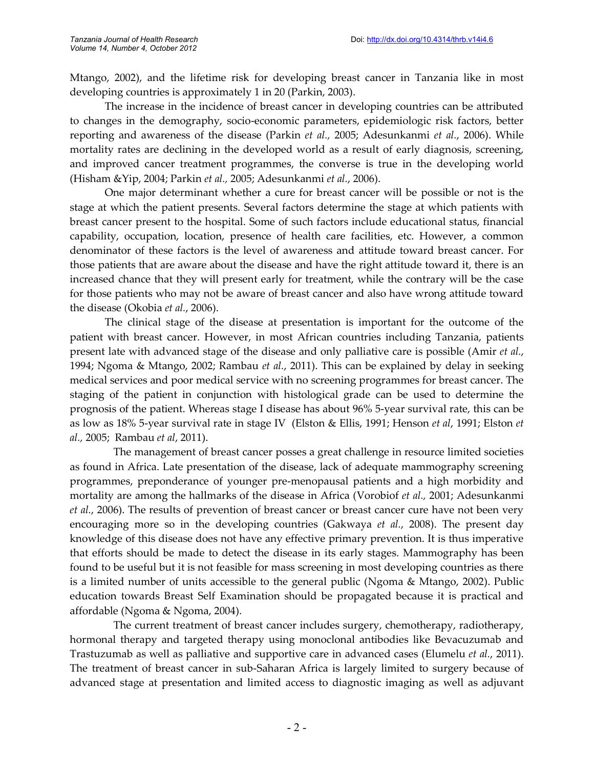Mtango, 2002), and the lifetime risk for developing breast cancer in Tanzania like in most developing countries is approximately 1 in 20 (Parkin, 2003).

The increase in the incidence of breast cancer in developing countries can be attributed to changes in the demography, socio-economic parameters, epidemiologic risk factors, better reporting and awareness of the disease (Parkin *et al.,* 2005; Adesunkanmi *et al.*, 2006). While mortality rates are declining in the developed world as a result of early diagnosis, screening, and improved cancer treatment programmes, the converse is true in the developing world (Hisham &Yip, 2004; Parkin *et al.,* 2005; Adesunkanmi *et al.*, 2006).

One major determinant whether a cure for breast cancer will be possible or not is the stage at which the patient presents. Several factors determine the stage at which patients with breast cancer present to the hospital. Some of such factors include educational status, financial capability, occupation, location, presence of health care facilities, etc. However, a common denominator of these factors is the level of awareness and attitude toward breast cancer. For those patients that are aware about the disease and have the right attitude toward it, there is an increased chance that they will present early for treatment, while the contrary will be the case for those patients who may not be aware of breast cancer and also have wrong attitude toward the disease (Okobia *et al.*, 2006).

The clinical stage of the disease at presentation is important for the outcome of the patient with breast cancer. However, in most African countries including Tanzania, patients present late with advanced stage of the disease and only palliative care is possible (Amir *et al.*, 1994; Ngoma & Mtango, 2002; Rambau *et al.*, 2011). This can be explained by delay in seeking medical services and poor medical service with no screening programmes for breast cancer. The staging of the patient in conjunction with histological grade can be used to determine the prognosis of the patient. Whereas stage I disease has about 96% 5-year survival rate, this can be as low as 18% 5-year survival rate in stage IV (Elston & Ellis, 1991; Henson *et al*, 1991; Elston *et al.,* 2005; Rambau *et al*, 2011).

The management of breast cancer posses a great challenge in resource limited societies as found in Africa. Late presentation of the disease, lack of adequate mammography screening programmes, preponderance of younger pre-menopausal patients and a high morbidity and mortality are among the hallmarks of the disease in Africa (Vorobiof *et al.,* 2001; Adesunkanmi *et al.*, 2006). The results of prevention of breast cancer or breast cancer cure have not been very encouraging more so in the developing countries (Gakwaya *et al.*, 2008). The present day knowledge of this disease does not have any effective primary prevention. It is thus imperative that efforts should be made to detect the disease in its early stages. Mammography has been found to be useful but it is not feasible for mass screening in most developing countries as there is a limited number of units accessible to the general public (Ngoma & Mtango, 2002). Public education towards Breast Self Examination should be propagated because it is practical and affordable (Ngoma & Ngoma, 2004).

The current treatment of breast cancer includes surgery, chemotherapy, radiotherapy, hormonal therapy and targeted therapy using monoclonal antibodies like Bevacuzumab and Trastuzumab as well as palliative and supportive care in advanced cases (Elumelu *et al.*, 2011). The treatment of breast cancer in sub-Saharan Africa is largely limited to surgery because of advanced stage at presentation and limited access to diagnostic imaging as well as adjuvant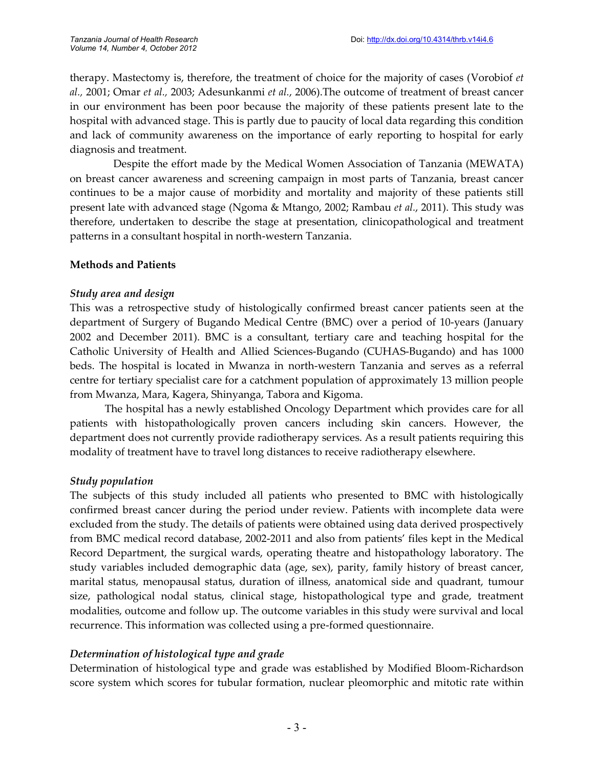therapy. Mastectomy is, therefore, the treatment of choice for the majority of cases (Vorobiof *et al.,* 2001; Omar *et al.,* 2003; Adesunkanmi *et al.*, 2006).The outcome of treatment of breast cancer in our environment has been poor because the majority of these patients present late to the hospital with advanced stage. This is partly due to paucity of local data regarding this condition and lack of community awareness on the importance of early reporting to hospital for early diagnosis and treatment.

Despite the effort made by the Medical Women Association of Tanzania (MEWATA) on breast cancer awareness and screening campaign in most parts of Tanzania, breast cancer continues to be a major cause of morbidity and mortality and majority of these patients still present late with advanced stage (Ngoma & Mtango, 2002; Rambau *et al.*, 2011). This study was therefore, undertaken to describe the stage at presentation, clinicopathological and treatment patterns in a consultant hospital in north-western Tanzania.

### **Methods and Patients**

### *Study area and design*

This was a retrospective study of histologically confirmed breast cancer patients seen at the department of Surgery of Bugando Medical Centre (BMC) over a period of 10-years (January 2002 and December 2011). BMC is a consultant, tertiary care and teaching hospital for the Catholic University of Health and Allied Sciences-Bugando (CUHAS-Bugando) and has 1000 beds. The hospital is located in Mwanza in north-western Tanzania and serves as a referral centre for tertiary specialist care for a catchment population of approximately 13 million people from Mwanza, Mara, Kagera, Shinyanga, Tabora and Kigoma.

The hospital has a newly established Oncology Department which provides care for all patients with histopathologically proven cancers including skin cancers. However, the department does not currently provide radiotherapy services. As a result patients requiring this modality of treatment have to travel long distances to receive radiotherapy elsewhere.

## *Study population*

The subjects of this study included all patients who presented to BMC with histologically confirmed breast cancer during the period under review. Patients with incomplete data were excluded from the study. The details of patients were obtained using data derived prospectively from BMC medical record database, 2002-2011 and also from patients' files kept in the Medical Record Department, the surgical wards, operating theatre and histopathology laboratory. The study variables included demographic data (age, sex), parity, family history of breast cancer, marital status, menopausal status, duration of illness, anatomical side and quadrant, tumour size, pathological nodal status, clinical stage, histopathological type and grade, treatment modalities, outcome and follow up. The outcome variables in this study were survival and local recurrence. This information was collected using a pre-formed questionnaire.

## *Determination of histological type and grade*

Determination of histological type and grade was established by Modified Bloom-Richardson score system which scores for tubular formation, nuclear pleomorphic and mitotic rate within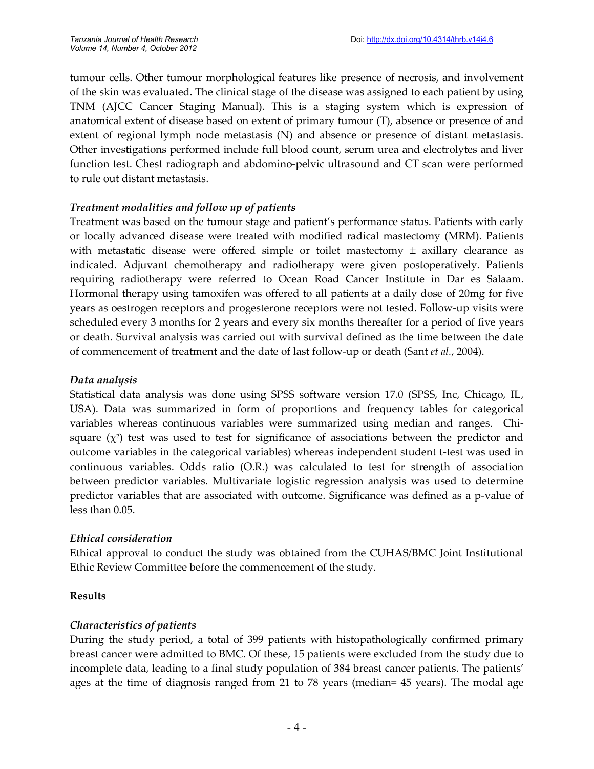tumour cells. Other tumour morphological features like presence of necrosis, and involvement of the skin was evaluated. The clinical stage of the disease was assigned to each patient by using TNM (AJCC Cancer Staging Manual). This is a staging system which is expression of anatomical extent of disease based on extent of primary tumour (T), absence or presence of and extent of regional lymph node metastasis (N) and absence or presence of distant metastasis. Other investigations performed include full blood count, serum urea and electrolytes and liver function test. Chest radiograph and abdomino-pelvic ultrasound and CT scan were performed to rule out distant metastasis.

#### *Treatment modalities and follow up of patients*

Treatment was based on the tumour stage and patient's performance status. Patients with early or locally advanced disease were treated with modified radical mastectomy (MRM). Patients with metastatic disease were offered simple or toilet mastectomy  $\pm$  axillary clearance as indicated. Adjuvant chemotherapy and radiotherapy were given postoperatively. Patients requiring radiotherapy were referred to Ocean Road Cancer Institute in Dar es Salaam. Hormonal therapy using tamoxifen was offered to all patients at a daily dose of 20mg for five years as oestrogen receptors and progesterone receptors were not tested. Follow-up visits were scheduled every 3 months for 2 years and every six months thereafter for a period of five years or death. Survival analysis was carried out with survival defined as the time between the date of commencement of treatment and the date of last follow-up or death (Sant *et al.*, 2004).

#### *Data analysis*

Statistical data analysis was done using SPSS software version 17.0 (SPSS, Inc, Chicago, IL, USA). Data was summarized in form of proportions and frequency tables for categorical variables whereas continuous variables were summarized using median and ranges. Chisquare  $(\chi^2)$  test was used to test for significance of associations between the predictor and outcome variables in the categorical variables) whereas independent student t-test was used in continuous variables. Odds ratio (O.R.) was calculated to test for strength of association between predictor variables. Multivariate logistic regression analysis was used to determine predictor variables that are associated with outcome. Significance was defined as a p-value of less than 0.05.

#### *Ethical consideration*

Ethical approval to conduct the study was obtained from the CUHAS/BMC Joint Institutional Ethic Review Committee before the commencement of the study.

#### **Results**

#### *Characteristics of patients*

During the study period, a total of 399 patients with histopathologically confirmed primary breast cancer were admitted to BMC. Of these, 15 patients were excluded from the study due to incomplete data, leading to a final study population of 384 breast cancer patients. The patients' ages at the time of diagnosis ranged from 21 to 78 years (median= 45 years). The modal age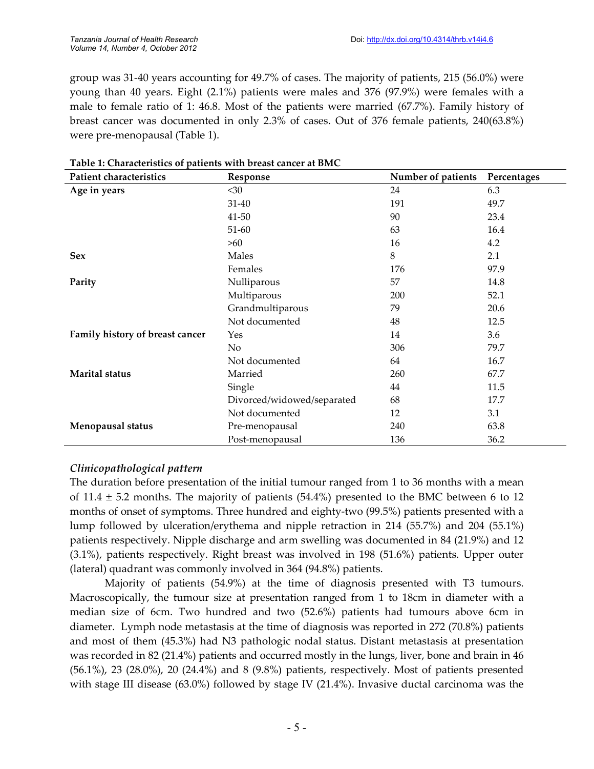group was 31-40 years accounting for 49.7% of cases. The majority of patients, 215 (56.0%) were young than 40 years. Eight (2.1%) patients were males and 376 (97.9%) were females with a male to female ratio of 1: 46.8. Most of the patients were married (67.7%). Family history of breast cancer was documented in only 2.3% of cases. Out of 376 female patients, 240(63.8%) were pre-menopausal (Table 1).

| <b>Patient characteristics</b>  | Response                   | Number of patients | Percentages |
|---------------------------------|----------------------------|--------------------|-------------|
| Age in years                    | $30$                       | 24                 | 6.3         |
|                                 | 31-40                      | 191                | 49.7        |
|                                 | 41-50                      | 90                 | 23.4        |
|                                 | 51-60                      | 63                 | 16.4        |
|                                 | >60                        | 16                 | 4.2         |
| <b>Sex</b>                      | Males                      | 8                  | 2.1         |
|                                 | Females                    | 176                | 97.9        |
| Parity                          | Nulliparous                | 57                 | 14.8        |
|                                 | Multiparous                | 200                | 52.1        |
|                                 | Grandmultiparous           | 79                 | 20.6        |
|                                 | Not documented             | 48                 | 12.5        |
| Family history of breast cancer | Yes                        | 14                 | 3.6         |
|                                 | No                         | 306                | 79.7        |
|                                 | Not documented             | 64                 | 16.7        |
| Marital status                  | Married                    | 260                | 67.7        |
|                                 | Single                     | 44                 | 11.5        |
|                                 | Divorced/widowed/separated | 68                 | 17.7        |
|                                 | Not documented             | 12                 | 3.1         |
| Menopausal status               | Pre-menopausal             | 240                | 63.8        |
|                                 | Post-menopausal            | 136                | 36.2        |

#### **Table 1: Characteristics of patients with breast cancer at BMC**

#### *Clinicopathological pattern*

The duration before presentation of the initial tumour ranged from 1 to 36 months with a mean of 11.4  $\pm$  5.2 months. The majority of patients (54.4%) presented to the BMC between 6 to 12 months of onset of symptoms. Three hundred and eighty-two (99.5%) patients presented with a lump followed by ulceration/erythema and nipple retraction in 214 (55.7%) and 204 (55.1%) patients respectively. Nipple discharge and arm swelling was documented in 84 (21.9%) and 12 (3.1%), patients respectively. Right breast was involved in 198 (51.6%) patients. Upper outer (lateral) quadrant was commonly involved in 364 (94.8%) patients.

Majority of patients (54.9%) at the time of diagnosis presented with T3 tumours. Macroscopically, the tumour size at presentation ranged from 1 to 18cm in diameter with a median size of 6cm. Two hundred and two (52.6%) patients had tumours above 6cm in diameter. Lymph node metastasis at the time of diagnosis was reported in 272 (70.8%) patients and most of them (45.3%) had N3 pathologic nodal status. Distant metastasis at presentation was recorded in 82 (21.4%) patients and occurred mostly in the lungs, liver, bone and brain in 46 (56.1%), 23 (28.0%), 20 (24.4%) and 8 (9.8%) patients, respectively. Most of patients presented with stage III disease (63.0%) followed by stage IV (21.4%). Invasive ductal carcinoma was the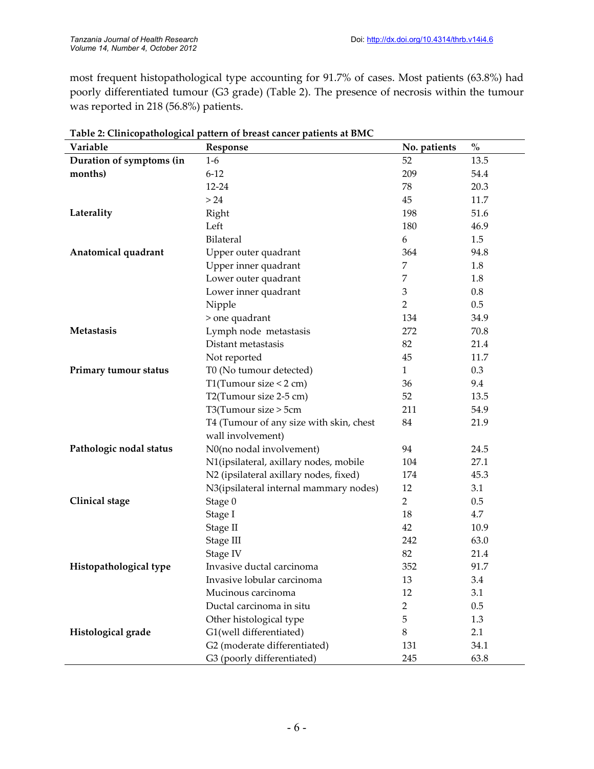most frequent histopathological type accounting for 91.7% of cases. Most patients (63.8%) had poorly differentiated tumour (G3 grade) (Table 2). The presence of necrosis within the tumour was reported in 218 (56.8%) patients.

| Variable                 | Response                                | No. patients   | $\%$    |
|--------------------------|-----------------------------------------|----------------|---------|
| Duration of symptoms (in | $1-6$                                   | 52             | 13.5    |
| months)                  | $6 - 12$                                | 209            | 54.4    |
|                          | 12-24                                   | 78             | 20.3    |
|                          | > 24                                    | 45             | 11.7    |
| Laterality               | Right                                   | 198            | 51.6    |
|                          | Left                                    | 180            | 46.9    |
|                          | Bilateral                               | 6              | 1.5     |
| Anatomical quadrant      | Upper outer quadrant                    | 364            | 94.8    |
|                          | Upper inner quadrant                    | 7              | 1.8     |
|                          | Lower outer quadrant                    | 7              | 1.8     |
|                          | Lower inner quadrant                    | 3              | $0.8\,$ |
|                          | Nipple                                  | $\overline{2}$ | 0.5     |
|                          | > one quadrant                          | 134            | 34.9    |
| Metastasis               | Lymph node metastasis                   | 272            | 70.8    |
|                          | Distant metastasis                      | 82             | 21.4    |
|                          | Not reported                            | 45             | 11.7    |
| Primary tumour status    | T0 (No tumour detected)                 | $\mathbf{1}$   | 0.3     |
|                          | T1(Tumour size $<$ 2 cm)                | 36             | 9.4     |
|                          | T2(Tumour size 2-5 cm)                  | 52             | 13.5    |
|                          | T3(Tumour size > 5cm                    | 211            | 54.9    |
|                          | T4 (Tumour of any size with skin, chest | 84             | 21.9    |
|                          | wall involvement)                       |                |         |
| Pathologic nodal status  | N0(no nodal involvement)                | 94             | 24.5    |
|                          | N1(ipsilateral, axillary nodes, mobile  | 104            | 27.1    |
|                          | N2 (ipsilateral axillary nodes, fixed)  | 174            | 45.3    |
|                          | N3(ipsilateral internal mammary nodes)  | 12             | 3.1     |
| <b>Clinical</b> stage    | Stage 0                                 | $\overline{2}$ | 0.5     |
|                          | Stage I                                 | 18             | 4.7     |
|                          | Stage II                                | 42             | 10.9    |
|                          | Stage III                               | 242            | 63.0    |
|                          | Stage IV                                | 82             | 21.4    |
| Histopathological type   | Invasive ductal carcinoma               | 352            | 91.7    |
|                          | Invasive lobular carcinoma              | 13             | 3.4     |
|                          | Mucinous carcinoma                      | 12             | 3.1     |
|                          | Ductal carcinoma in situ                | $\overline{2}$ | 0.5     |
|                          | Other histological type                 | 5              | 1.3     |
| Histological grade       | G1(well differentiated)                 | 8              | 2.1     |
|                          | G2 (moderate differentiated)            | 131            | 34.1    |
|                          | G3 (poorly differentiated)              | 245            | 63.8    |

|  | Table 2: Clinicopathological pattern of breast cancer patients at BMC |
|--|-----------------------------------------------------------------------|
|  |                                                                       |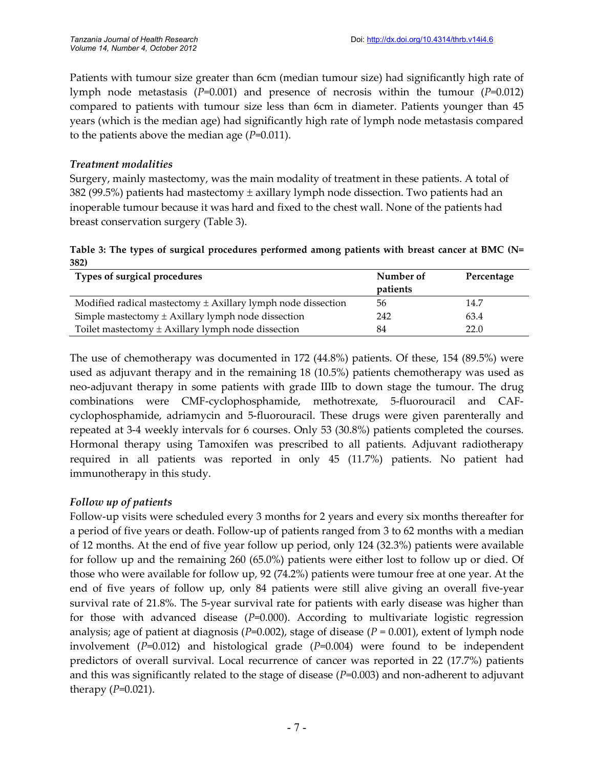Patients with tumour size greater than 6cm (median tumour size) had significantly high rate of lymph node metastasis (*P*=0.001) and presence of necrosis within the tumour (*P*=0.012) compared to patients with tumour size less than 6cm in diameter. Patients younger than 45 years (which is the median age) had significantly high rate of lymph node metastasis compared to the patients above the median age (*P*=0.011).

#### *Treatment modalities*

Surgery, mainly mastectomy, was the main modality of treatment in these patients. A total of 382 (99.5%) patients had mastectomy  $\pm$  axillary lymph node dissection. Two patients had an inoperable tumour because it was hard and fixed to the chest wall. None of the patients had breast conservation surgery (Table 3).

|      |  | Table 3: The types of surgical procedures performed among patients with breast cancer at BMC (N= |  |  |  |  |
|------|--|--------------------------------------------------------------------------------------------------|--|--|--|--|
| 382) |  |                                                                                                  |  |  |  |  |

| Types of surgical procedures                                     | Number of | Percentage |
|------------------------------------------------------------------|-----------|------------|
|                                                                  | patients  |            |
| Modified radical mastectomy $\pm$ Axillary lymph node dissection | 56        | 14.7       |
| Simple mastectomy $\pm$ Axillary lymph node dissection           | 242       | 63.4       |
| Toilet mastectomy $\pm$ Axillary lymph node dissection           | 84        | 22.0       |

The use of chemotherapy was documented in 172 (44.8%) patients. Of these, 154 (89.5%) were used as adjuvant therapy and in the remaining 18 (10.5%) patients chemotherapy was used as neo-adjuvant therapy in some patients with grade IIIb to down stage the tumour. The drug combinations were CMF-cyclophosphamide, methotrexate, 5-fluorouracil and CAFcyclophosphamide, adriamycin and 5-fluorouracil. These drugs were given parenterally and repeated at 3-4 weekly intervals for 6 courses. Only 53 (30.8%) patients completed the courses. Hormonal therapy using Tamoxifen was prescribed to all patients. Adjuvant radiotherapy required in all patients was reported in only 45 (11.7%) patients. No patient had immunotherapy in this study.

## *Follow up of patients*

Follow-up visits were scheduled every 3 months for 2 years and every six months thereafter for a period of five years or death. Follow-up of patients ranged from 3 to 62 months with a median of 12 months. At the end of five year follow up period, only 124 (32.3%) patients were available for follow up and the remaining 260 (65.0%) patients were either lost to follow up or died. Of those who were available for follow up, 92 (74.2%) patients were tumour free at one year. At the end of five years of follow up, only 84 patients were still alive giving an overall five-year survival rate of 21.8%. The 5-year survival rate for patients with early disease was higher than for those with advanced disease (*P*=0.000). According to multivariate logistic regression analysis; age of patient at diagnosis (*P*=0.002), stage of disease (*P* = 0.001), extent of lymph node involvement (*P*=0.012) and histological grade (*P*=0.004) were found to be independent predictors of overall survival. Local recurrence of cancer was reported in 22 (17.7%) patients and this was significantly related to the stage of disease (*P*=0.003) and non-adherent to adjuvant therapy (*P*=0.021).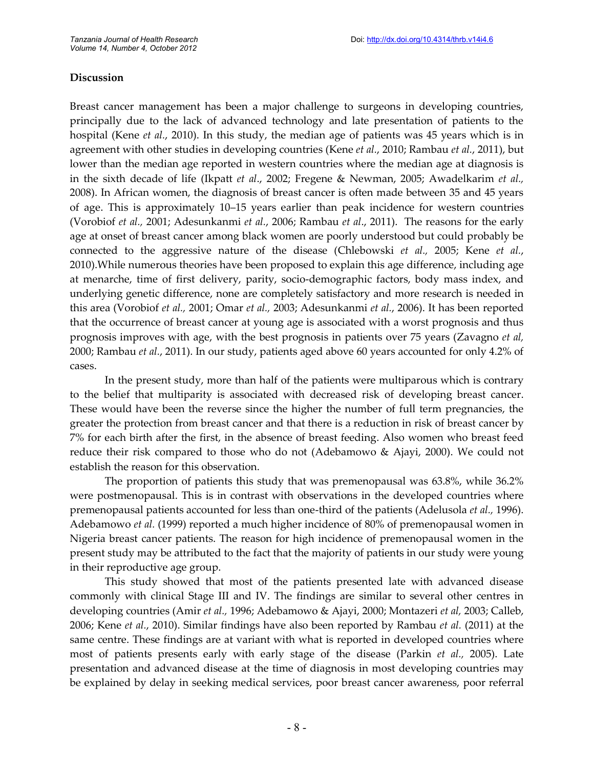### **Discussion**

Breast cancer management has been a major challenge to surgeons in developing countries, principally due to the lack of advanced technology and late presentation of patients to the hospital (Kene *et al.*, 2010). In this study, the median age of patients was 45 years which is in agreement with other studies in developing countries (Kene *et al.*, 2010; Rambau *et al.*, 2011), but lower than the median age reported in western countries where the median age at diagnosis is in the sixth decade of life (Ikpatt *et al*., 2002; Fregene & Newman, 2005; Awadelkarim *et al.,* 2008). In African women, the diagnosis of breast cancer is often made between 35 and 45 years of age. This is approximately 10–15 years earlier than peak incidence for western countries (Vorobiof *et al.,* 2001; Adesunkanmi *et al.*, 2006; Rambau *et al*., 2011). The reasons for the early age at onset of breast cancer among black women are poorly understood but could probably be connected to the aggressive nature of the disease (Chlebowski *et al.,* 2005; Kene *et al.*, 2010).While numerous theories have been proposed to explain this age difference, including age at menarche, time of first delivery, parity, socio-demographic factors, body mass index, and underlying genetic difference, none are completely satisfactory and more research is needed in this area (Vorobiof *et al.,* 2001; Omar *et al.,* 2003; Adesunkanmi *et al.*, 2006). It has been reported that the occurrence of breast cancer at young age is associated with a worst prognosis and thus prognosis improves with age, with the best prognosis in patients over 75 years (Zavagno *et al,* 2000; Rambau *et al.*, 2011). In our study, patients aged above 60 years accounted for only 4.2% of cases.

In the present study, more than half of the patients were multiparous which is contrary to the belief that multiparity is associated with decreased risk of developing breast cancer. These would have been the reverse since the higher the number of full term pregnancies, the greater the protection from breast cancer and that there is a reduction in risk of breast cancer by 7% for each birth after the first, in the absence of breast feeding. Also women who breast feed reduce their risk compared to those who do not (Adebamowo & Ajayi, 2000). We could not establish the reason for this observation.

The proportion of patients this study that was premenopausal was 63.8%, while 36.2% were postmenopausal. This is in contrast with observations in the developed countries where premenopausal patients accounted for less than one-third of the patients (Adelusola *et al.,* 1996). Adebamowo *et al.* (1999) reported a much higher incidence of 80% of premenopausal women in Nigeria breast cancer patients. The reason for high incidence of premenopausal women in the present study may be attributed to the fact that the majority of patients in our study were young in their reproductive age group.

This study showed that most of the patients presented late with advanced disease commonly with clinical Stage III and IV. The findings are similar to several other centres in developing countries (Amir *et al.,* 1996; Adebamowo & Ajayi, 2000; Montazeri *et al,* 2003; Calleb, 2006; Kene *et al.*, 2010). Similar findings have also been reported by Rambau *et al.* (2011) at the same centre. These findings are at variant with what is reported in developed countries where most of patients presents early with early stage of the disease (Parkin *et al.,* 2005). Late presentation and advanced disease at the time of diagnosis in most developing countries may be explained by delay in seeking medical services, poor breast cancer awareness, poor referral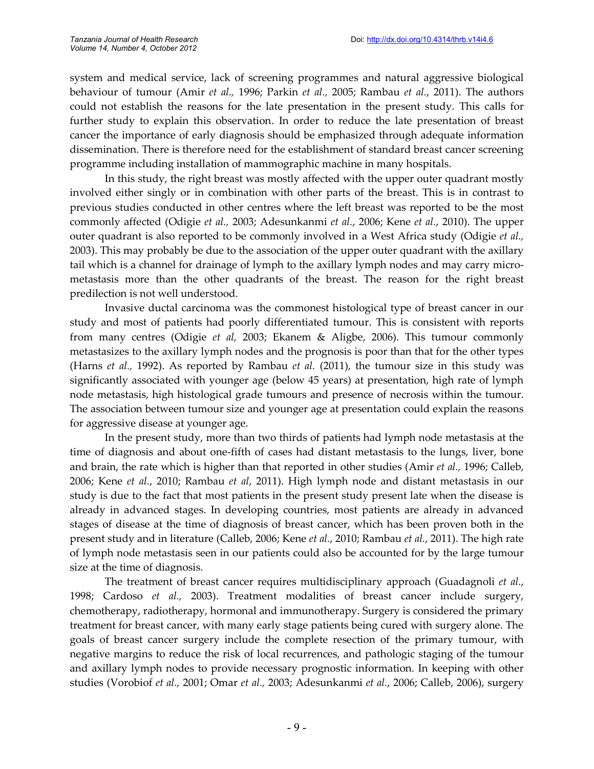system and medical service, lack of screening programmes and natural aggressive biological behaviour of tumour (Amir *et al.,* 1996; Parkin *et al.,* 2005; Rambau *et al.*, 2011). The authors could not establish the reasons for the late presentation in the present study. This calls for further study to explain this observation. In order to reduce the late presentation of breast cancer the importance of early diagnosis should be emphasized through adequate information dissemination. There is therefore need for the establishment of standard breast cancer screening programme including installation of mammographic machine in many hospitals.

In this study, the right breast was mostly affected with the upper outer quadrant mostly involved either singly or in combination with other parts of the breast. This is in contrast to previous studies conducted in other centres where the left breast was reported to be the most commonly affected (Odigie *et al.,* 2003; Adesunkanmi *et al.*, 2006; Kene *et al.*, 2010). The upper outer quadrant is also reported to be commonly involved in a West Africa study (Odigie *et al.,* 2003). This may probably be due to the association of the upper outer quadrant with the axillary tail which is a channel for drainage of lymph to the axillary lymph nodes and may carry micrometastasis more than the other quadrants of the breast. The reason for the right breast predilection is not well understood.

Invasive ductal carcinoma was the commonest histological type of breast cancer in our study and most of patients had poorly differentiated tumour. This is consistent with reports from many centres (Odigie *et al,* 2003; Ekanem & Aligbe, 2006). This tumour commonly metastasizes to the axillary lymph nodes and the prognosis is poor than that for the other types (Harns *et al.,* 1992). As reported by Rambau *et al.* (2011), the tumour size in this study was significantly associated with younger age (below 45 years) at presentation, high rate of lymph node metastasis, high histological grade tumours and presence of necrosis within the tumour. The association between tumour size and younger age at presentation could explain the reasons for aggressive disease at younger age.

In the present study, more than two thirds of patients had lymph node metastasis at the time of diagnosis and about one-fifth of cases had distant metastasis to the lungs, liver, bone and brain, the rate which is higher than that reported in other studies (Amir *et al.,* 1996; Calleb, 2006; Kene *et al.*, 2010; Rambau *et al*, 2011). High lymph node and distant metastasis in our study is due to the fact that most patients in the present study present late when the disease is already in advanced stages. In developing countries, most patients are already in advanced stages of disease at the time of diagnosis of breast cancer, which has been proven both in the present study and in literature (Calleb, 2006; Kene *et al.*, 2010; Rambau *et al.*, 2011). The high rate of lymph node metastasis seen in our patients could also be accounted for by the large tumour size at the time of diagnosis.

The treatment of breast cancer requires multidisciplinary approach (Guadagnoli *et al.*, 1998; Cardoso *et al.,* 2003). Treatment modalities of breast cancer include surgery, chemotherapy, radiotherapy, hormonal and immunotherapy. Surgery is considered the primary treatment for breast cancer, with many early stage patients being cured with surgery alone. The goals of breast cancer surgery include the complete resection of the primary tumour, with negative margins to reduce the risk of local recurrences, and pathologic staging of the tumour and axillary lymph nodes to provide necessary prognostic information. In keeping with other studies (Vorobiof *et al.,* 2001; Omar *et al.,* 2003; Adesunkanmi *et al.*, 2006; Calleb, 2006), surgery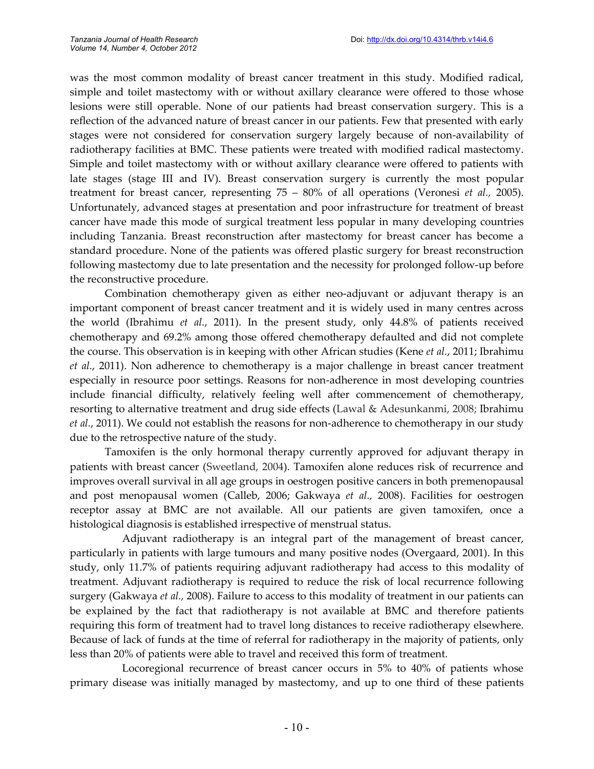was the most common modality of breast cancer treatment in this study. Modified radical, simple and toilet mastectomy with or without axillary clearance were offered to those whose lesions were still operable. None of our patients had breast conservation surgery. This is a reflection of the advanced nature of breast cancer in our patients. Few that presented with early stages were not considered for conservation surgery largely because of non-availability of radiotherapy facilities at BMC. These patients were treated with modified radical mastectomy. Simple and toilet mastectomy with or without axillary clearance were offered to patients with late stages (stage III and IV). Breast conservation surgery is currently the most popular treatment for breast cancer, representing 75 – 80% of all operations (Veronesi *et al.,* 2005). Unfortunately, advanced stages at presentation and poor infrastructure for treatment of breast cancer have made this mode of surgical treatment less popular in many developing countries including Tanzania. Breast reconstruction after mastectomy for breast cancer has become a standard procedure. None of the patients was offered plastic surgery for breast reconstruction following mastectomy due to late presentation and the necessity for prolonged follow-up before the reconstructive procedure.

Combination chemotherapy given as either neo-adjuvant or adjuvant therapy is an important component of breast cancer treatment and it is widely used in many centres across the world (Ibrahimu *et al.*, 2011). In the present study, only 44.8% of patients received chemotherapy and 69.2% among those offered chemotherapy defaulted and did not complete the course. This observation is in keeping with other African studies (Kene *et al.*, 2011; Ibrahimu *et al.*, 2011). Non adherence to chemotherapy is a major challenge in breast cancer treatment especially in resource poor settings. Reasons for non-adherence in most developing countries include financial difficulty, relatively feeling well after commencement of chemotherapy, resorting to alternative treatment and drug side effects (Lawal & Adesunkanmi, 2008; Ibrahimu *et al.*, 2011). We could not establish the reasons for non-adherence to chemotherapy in our study due to the retrospective nature of the study.

Tamoxifen is the only hormonal therapy currently approved for adjuvant therapy in patients with breast cancer (Sweetland, 2004). Tamoxifen alone reduces risk of recurrence and improves overall survival in all age groups in oestrogen positive cancers in both premenopausal and post menopausal women (Calleb, 2006; Gakwaya *et al.,* 2008). Facilities for oestrogen receptor assay at BMC are not available. All our patients are given tamoxifen, once a histological diagnosis is established irrespective of menstrual status.

Adjuvant radiotherapy is an integral part of the management of breast cancer, particularly in patients with large tumours and many positive nodes (Overgaard, 2001). In this study, only 11.7% of patients requiring adjuvant radiotherapy had access to this modality of treatment. Adjuvant radiotherapy is required to reduce the risk of local recurrence following surgery (Gakwaya *et al.,* 2008). Failure to access to this modality of treatment in our patients can be explained by the fact that radiotherapy is not available at BMC and therefore patients requiring this form of treatment had to travel long distances to receive radiotherapy elsewhere. Because of lack of funds at the time of referral for radiotherapy in the majority of patients, only less than 20% of patients were able to travel and received this form of treatment.

Locoregional recurrence of breast cancer occurs in 5% to 40% of patients whose primary disease was initially managed by mastectomy, and up to one third of these patients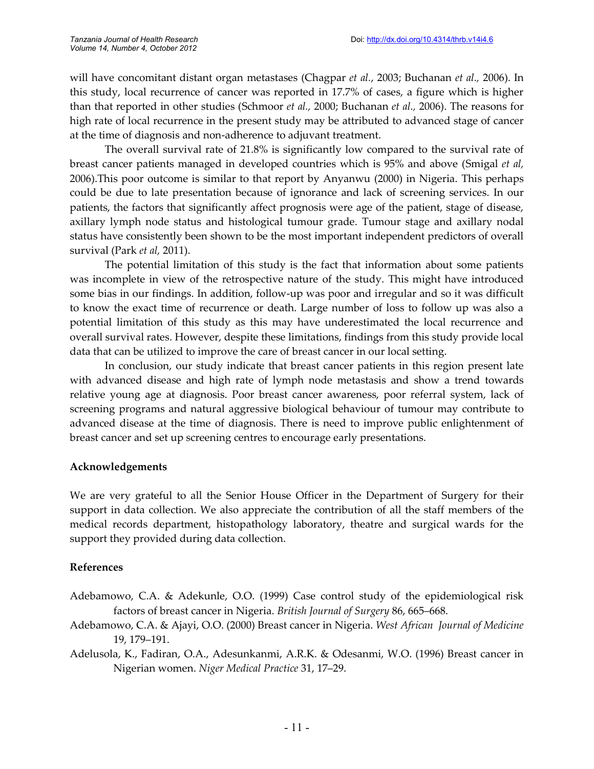will have concomitant distant organ metastases (Chagpar *et al.*, 2003; Buchanan *et al.,* 2006). In this study, local recurrence of cancer was reported in 17.7% of cases, a figure which is higher than that reported in other studies (Schmoor *et al.,* 2000; Buchanan *et al.,* 2006). The reasons for high rate of local recurrence in the present study may be attributed to advanced stage of cancer at the time of diagnosis and non-adherence to adjuvant treatment.

The overall survival rate of 21.8% is significantly low compared to the survival rate of breast cancer patients managed in developed countries which is 95% and above (Smigal *et al,* 2006).This poor outcome is similar to that report by Anyanwu (2000) in Nigeria. This perhaps could be due to late presentation because of ignorance and lack of screening services. In our patients, the factors that significantly affect prognosis were age of the patient, stage of disease, axillary lymph node status and histological tumour grade. Tumour stage and axillary nodal status have consistently been shown to be the most important independent predictors of overall survival (Park *et al,* 2011).

The potential limitation of this study is the fact that information about some patients was incomplete in view of the retrospective nature of the study. This might have introduced some bias in our findings. In addition, follow-up was poor and irregular and so it was difficult to know the exact time of recurrence or death. Large number of loss to follow up was also a potential limitation of this study as this may have underestimated the local recurrence and overall survival rates. However, despite these limitations, findings from this study provide local data that can be utilized to improve the care of breast cancer in our local setting.

In conclusion, our study indicate that breast cancer patients in this region present late with advanced disease and high rate of lymph node metastasis and show a trend towards relative young age at diagnosis. Poor breast cancer awareness, poor referral system, lack of screening programs and natural aggressive biological behaviour of tumour may contribute to advanced disease at the time of diagnosis. There is need to improve public enlightenment of breast cancer and set up screening centres to encourage early presentations.

## **Acknowledgements**

We are very grateful to all the Senior House Officer in the Department of Surgery for their support in data collection. We also appreciate the contribution of all the staff members of the medical records department, histopathology laboratory, theatre and surgical wards for the support they provided during data collection.

## **References**

- Adebamowo, C.A. & Adekunle, O.O. (1999) Case control study of the epidemiological risk factors of breast cancer in Nigeria. *British Journal of Surgery* 86, 665–668.
- Adebamowo, C.A. & Ajayi, O.O. (2000) Breast cancer in Nigeria. *West African Journal of Medicine* 19, 179–191.
- Adelusola, K., Fadiran, O.A., Adesunkanmi, A.R.K. & Odesanmi, W.O. (1996) Breast cancer in Nigerian women. *Niger Medical Practice* 31, 17–29.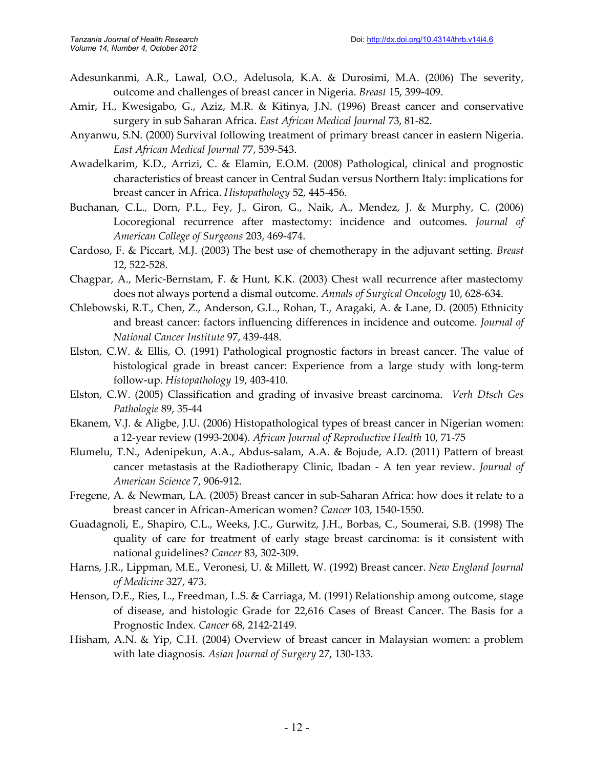- Adesunkanmi, A.R., Lawal, O.O., Adelusola, K.A. & Durosimi, M.A. (2006) The severity, outcome and challenges of breast cancer in Nigeria. *Breast* 15, 399-409.
- Amir, H., Kwesigabo, G., Aziz, M.R. & Kitinya, J.N. (1996) Breast cancer and conservative surgery in sub Saharan Africa. *East African Medical Journal* 73, 81-82.
- Anyanwu, S.N. (2000) Survival following treatment of primary breast cancer in eastern Nigeria. *East African Medical Journal* 77, 539-543.
- Awadelkarim, K.D., Arrizi, C. & Elamin, E.O.M. (2008) Pathological, clinical and prognostic characteristics of breast cancer in Central Sudan versus Northern Italy: implications for breast cancer in Africa. *Histopathology* 52, 445-456.
- Buchanan, C.L.*,* Dorn, P.L.*,* Fey, J.*,* Giron, G., Naik, A., Mendez, J. & Murphy, C. (2006) Locoregional recurrence after mastectomy: incidence and outcomes. *Journal of American College of Surgeons* 203, 469-474.
- Cardoso, F. & Piccart, M.J. (2003) The best use of chemotherapy in the adjuvant setting. *Breast* 12, 522-528.
- Chagpar, A., Meric-Bernstam, F. & Hunt, K.K. (2003) Chest wall recurrence after mastectomy does not always portend a dismal outcome. *Annals of Surgical Oncology* 10, 628-634.
- Chlebowski, R.T., Chen, Z., Anderson, G.L., Rohan, T., Aragaki, A. & Lane, D. (2005) Ethnicity and breast cancer: factors influencing differences in incidence and outcome. *Journal of National Cancer Institute* 97, 439-448.
- Elston, C.W. & Ellis, O. (1991) Pathological prognostic factors in breast cancer. The value of histological grade in breast cancer: Experience from a large study with long-term follow-up. *Histopathology* 19, 403-410.
- Elston, C.W. (2005) Classification and grading of invasive breast carcinoma. *Verh Dtsch Ges Pathologie* 89, 35-44
- Ekanem, V.J. & Aligbe, J.U. (2006) Histopathological types of breast cancer in Nigerian women: a 12-year review (1993-2004). *African Journal of Reproductive Health* 10, 71-75
- Elumelu, T.N., Adenipekun, A.A., Abdus-salam, A.A. & Bojude, A.D. (2011) Pattern of breast cancer metastasis at the Radiotherapy Clinic, Ibadan - A ten year review. *Journal of American Science* 7, 906-912.
- Fregene, A. & Newman, LA. (2005) Breast cancer in sub-Saharan Africa: how does it relate to a breast cancer in African-American women? *Cancer* 103, 1540-1550.
- Guadagnoli, E., Shapiro, C.L., Weeks, J.C., Gurwitz, J.H., Borbas, C., Soumerai, S.B. (1998) The quality of care for treatment of early stage breast carcinoma: is it consistent with national guidelines? *Cancer* 83, 302-309.
- Harns, J.R., Lippman, M.E., Veronesi, U. & Millett, W. (1992) Breast cancer. *New England Journal of Medicine* 327, 473.
- Henson, D.E., Ries, L., Freedman, L.S. & Carriaga, M. (1991) Relationship among outcome, stage of disease, and histologic Grade for 22,616 Cases of Breast Cancer. The Basis for a Prognostic Index*. Cancer* 68, 2142-2149.
- Hisham, A.N. & Yip, C.H. (2004) Overview of breast cancer in Malaysian women: a problem with late diagnosis. *Asian Journal of Surgery* 27, 130-133.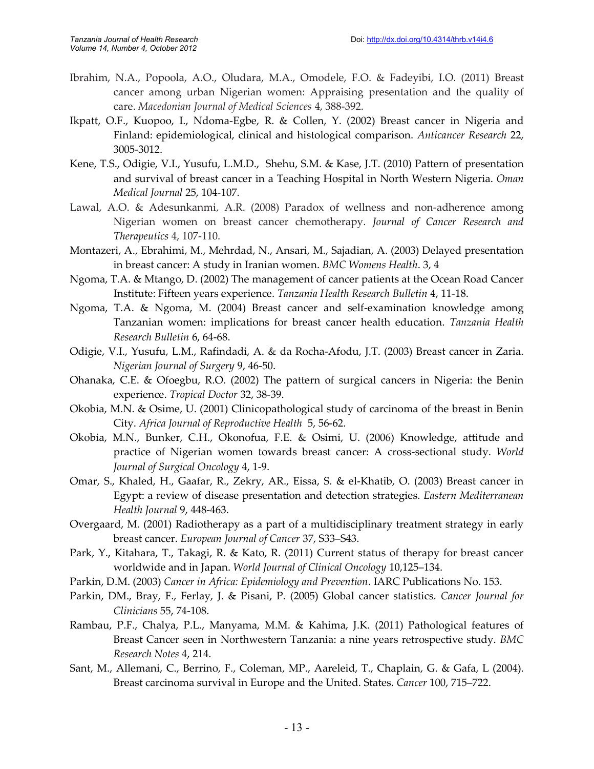- Ibrahim, N.A., Popoola, A.O., Oludara, M.A., Omodele, F.O. & Fadeyibi, I.O. (2011) Breast cancer among urban Nigerian women: Appraising presentation and the quality of care. *Macedonian Journal of Medical Sciences* 4, 388-392.
- Ikpatt, O.F., Kuopoo, I., Ndoma-Egbe, R. & Collen, Y. (2002) Breast cancer in Nigeria and Finland: epidemiological, clinical and histological comparison. *Anticancer Research* 22, 3005-3012.
- Kene, T.S., Odigie, V.I., Yusufu, L.M.D., Shehu, S.M. & Kase, J.T. (2010) Pattern of presentation and survival of breast cancer in a Teaching Hospital in North Western Nigeria. *Oman Medical Journal* 25, 104-107.
- Lawal, A.O. & Adesunkanmi, A.R. (2008) Paradox of wellness and non-adherence among Nigerian women on breast cancer chemotherapy. *Journal of Cancer Research and Therapeutics* 4, 107-110.
- Montazeri, A., Ebrahimi, M., Mehrdad, N., Ansari, M., Sajadian, A. (2003) Delayed presentation in breast cancer: A study in Iranian women. *BMC Womens Health*. 3, 4
- Ngoma, T.A. & Mtango, D. (2002) The management of cancer patients at the Ocean Road Cancer Institute: Fifteen years experience. *Tanzania Health Research Bulletin* 4, 11-18.
- Ngoma, T.A. & Ngoma, M. (2004) Breast cancer and self-examination knowledge among Tanzanian women: implications for breast cancer health education. *Tanzania Health Research Bulletin* 6, 64-68.
- Odigie, V.I., Yusufu, L.M., Rafindadi, A. & da Rocha-Afodu, J.T. (2003) Breast cancer in Zaria. *Nigerian Journal of Surgery* 9, 46-50.
- Ohanaka, C.E. & Ofoegbu, R.O. (2002) The pattern of surgical cancers in Nigeria: the Benin experience. *Tropical Doctor* 32, 38-39.
- Okobia, M.N. & Osime, U. (2001) Clinicopathological study of carcinoma of the breast in Benin City. *Africa Journal of Reproductive Health* 5, 56-62.
- Okobia, M.N., Bunker, C.H., Okonofua, F.E. & Osimi, U. (2006) Knowledge, attitude and practice of Nigerian women towards breast cancer: A cross-sectional study. *World Journal of Surgical Oncology* 4, 1-9.
- Omar, S., Khaled, H., Gaafar, R., Zekry, AR., Eissa, S. & el-Khatib, O. (2003) Breast cancer in Egypt: a review of disease presentation and detection strategies. *Eastern Mediterranean Health Journal* 9, 448-463.
- Overgaard, M. (2001) Radiotherapy as a part of a multidisciplinary treatment strategy in early breast cancer. *European Journal of Cancer* 37, S33–S43.
- Park, Y., Kitahara, T., Takagi, R. & Kato, R. (2011) Current status of therapy for breast cancer worldwide and in Japan. *World Journal of Clinical Oncology* 10,125–134.
- Parkin, D.M. (2003) *Cancer in Africa: Epidemiology and Prevention*. IARC Publications No. 153.
- Parkin, DM., Bray, F., Ferlay, J. & Pisani, P. (2005) Global cancer statistics. *Cancer Journal for Clinicians* 55, 74-108.
- Rambau, P.F., Chalya, P.L., Manyama, M.M. & Kahima, J.K. (2011) Pathological features of Breast Cancer seen in Northwestern Tanzania: a nine years retrospective study. *BMC Research Notes* 4, 214.
- Sant, M., Allemani, C., Berrino, F., Coleman, MP., Aareleid, T., Chaplain, G. & Gafa, L (2004). Breast carcinoma survival in Europe and the United. States. *Cancer* 100, 715–722.